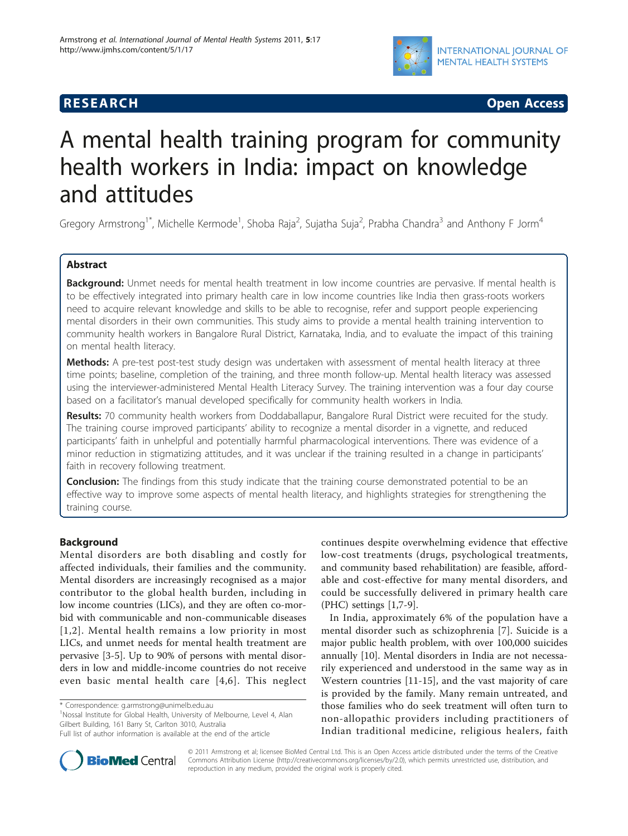

## **RESEARCH CONSTRUCTION CONSTRUCTS**

# A mental health training program for community health workers in India: impact on knowledge and attitudes

Gregory Armstrong<sup>1\*</sup>, Michelle Kermode<sup>1</sup>, Shoba Raja<sup>2</sup>, Sujatha Suja<sup>2</sup>, Prabha Chandra<sup>3</sup> and Anthony F Jorm<sup>4</sup>

## Abstract

Background: Unmet needs for mental health treatment in low income countries are pervasive. If mental health is to be effectively integrated into primary health care in low income countries like India then grass-roots workers need to acquire relevant knowledge and skills to be able to recognise, refer and support people experiencing mental disorders in their own communities. This study aims to provide a mental health training intervention to community health workers in Bangalore Rural District, Karnataka, India, and to evaluate the impact of this training on mental health literacy.

Methods: A pre-test post-test study design was undertaken with assessment of mental health literacy at three time points; baseline, completion of the training, and three month follow-up. Mental health literacy was assessed using the interviewer-administered Mental Health Literacy Survey. The training intervention was a four day course based on a facilitator's manual developed specifically for community health workers in India.

Results: 70 community health workers from Doddaballapur, Bangalore Rural District were recuited for the study. The training course improved participants' ability to recognize a mental disorder in a vignette, and reduced participants' faith in unhelpful and potentially harmful pharmacological interventions. There was evidence of a minor reduction in stigmatizing attitudes, and it was unclear if the training resulted in a change in participants' faith in recovery following treatment.

**Conclusion:** The findings from this study indicate that the training course demonstrated potential to be an effective way to improve some aspects of mental health literacy, and highlights strategies for strengthening the training course.

## Background

Mental disorders are both disabling and costly for affected individuals, their families and the community. Mental disorders are increasingly recognised as a major contributor to the global health burden, including in low income countries (LICs), and they are often co-morbid with communicable and non-communicable diseases [[1,2\]](#page-9-0). Mental health remains a low priority in most LICs, and unmet needs for mental health treatment are pervasive [\[3](#page-9-0)-[5\]](#page-9-0). Up to 90% of persons with mental disorders in low and middle-income countries do not receive even basic mental health care [[4,6\]](#page-9-0). This neglect

\* Correspondence: [g.armstrong@unimelb.edu.au](mailto:g.armstrong@unimelb.edu.au)

<sup>1</sup>Nossal Institute for Global Health, University of Melbourne, Level 4, Alan Gilbert Building, 161 Barry St, Carlton 3010, Australia

continues despite overwhelming evidence that effective low-cost treatments (drugs, psychological treatments, and community based rehabilitation) are feasible, affordable and cost-effective for many mental disorders, and could be successfully delivered in primary health care (PHC) settings [\[1,7](#page-9-0)-[9](#page-9-0)].

In India, approximately 6% of the population have a mental disorder such as schizophrenia [[7\]](#page-9-0). Suicide is a major public health problem, with over 100,000 suicides annually [\[10](#page-9-0)]. Mental disorders in India are not necessarily experienced and understood in the same way as in Western countries [\[11](#page-9-0)-[15\]](#page-9-0), and the vast majority of care is provided by the family. Many remain untreated, and those families who do seek treatment will often turn to non-allopathic providers including practitioners of Indian traditional medicine, religious healers, faith



© 2011 Armstrong et al; licensee BioMed Central Ltd. This is an Open Access article distributed under the terms of the Creative Commons Attribution License [\(http://creativecommons.org/licenses/by/2.0](http://creativecommons.org/licenses/by/2.0)), which permits unrestricted use, distribution, and reproduction in any medium, provided the original work is properly cited.

Full list of author information is available at the end of the article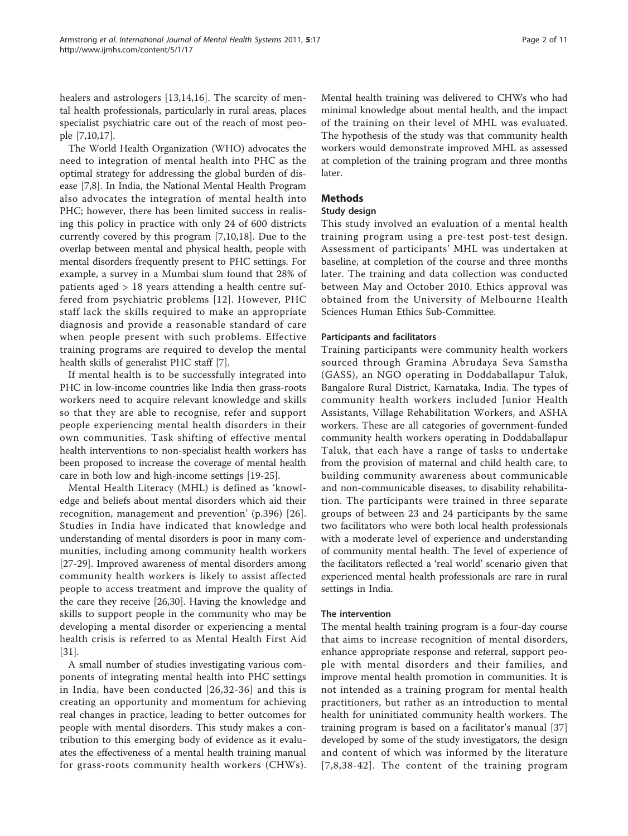healers and astrologers [[13,14,16\]](#page-9-0). The scarcity of mental health professionals, particularly in rural areas, places specialist psychiatric care out of the reach of most people [\[7,10,17\]](#page-9-0).

The World Health Organization (WHO) advocates the need to integration of mental health into PHC as the optimal strategy for addressing the global burden of disease [\[7,8\]](#page-9-0). In India, the National Mental Health Program also advocates the integration of mental health into PHC; however, there has been limited success in realising this policy in practice with only 24 of 600 districts currently covered by this program [[7,10,18](#page-9-0)]. Due to the overlap between mental and physical health, people with mental disorders frequently present to PHC settings. For example, a survey in a Mumbai slum found that 28% of patients aged > 18 years attending a health centre suffered from psychiatric problems [[12\]](#page-9-0). However, PHC staff lack the skills required to make an appropriate diagnosis and provide a reasonable standard of care when people present with such problems. Effective training programs are required to develop the mental health skills of generalist PHC staff [[7\]](#page-9-0).

If mental health is to be successfully integrated into PHC in low-income countries like India then grass-roots workers need to acquire relevant knowledge and skills so that they are able to recognise, refer and support people experiencing mental health disorders in their own communities. Task shifting of effective mental health interventions to non-specialist health workers has been proposed to increase the coverage of mental health care in both low and high-income settings [\[19](#page-9-0)-[25](#page-9-0)].

Mental Health Literacy (MHL) is defined as 'knowledge and beliefs about mental disorders which aid their recognition, management and prevention' (p.396) [[26](#page-9-0)]. Studies in India have indicated that knowledge and understanding of mental disorders is poor in many communities, including among community health workers [[27-29](#page-9-0)]. Improved awareness of mental disorders among community health workers is likely to assist affected people to access treatment and improve the quality of the care they receive [[26,30\]](#page-9-0). Having the knowledge and skills to support people in the community who may be developing a mental disorder or experiencing a mental health crisis is referred to as Mental Health First Aid [[31\]](#page-9-0).

A small number of studies investigating various components of integrating mental health into PHC settings in India, have been conducted [[26](#page-9-0),[32-36\]](#page-10-0) and this is creating an opportunity and momentum for achieving real changes in practice, leading to better outcomes for people with mental disorders. This study makes a contribution to this emerging body of evidence as it evaluates the effectiveness of a mental health training manual for grass-roots community health workers (CHWs). Mental health training was delivered to CHWs who had minimal knowledge about mental health, and the impact of the training on their level of MHL was evaluated. The hypothesis of the study was that community health workers would demonstrate improved MHL as assessed at completion of the training program and three months later.

## Methods

## Study design

This study involved an evaluation of a mental health training program using a pre-test post-test design. Assessment of participants' MHL was undertaken at baseline, at completion of the course and three months later. The training and data collection was conducted between May and October 2010. Ethics approval was obtained from the University of Melbourne Health Sciences Human Ethics Sub-Committee.

## Participants and facilitators

Training participants were community health workers sourced through Gramina Abrudaya Seva Samstha (GASS), an NGO operating in Doddaballapur Taluk, Bangalore Rural District, Karnataka, India. The types of community health workers included Junior Health Assistants, Village Rehabilitation Workers, and ASHA workers. These are all categories of government-funded community health workers operating in Doddaballapur Taluk, that each have a range of tasks to undertake from the provision of maternal and child health care, to building community awareness about communicable and non-communicable diseases, to disability rehabilitation. The participants were trained in three separate groups of between 23 and 24 participants by the same two facilitators who were both local health professionals with a moderate level of experience and understanding of community mental health. The level of experience of the facilitators reflected a 'real world' scenario given that experienced mental health professionals are rare in rural settings in India.

## The intervention

The mental health training program is a four-day course that aims to increase recognition of mental disorders, enhance appropriate response and referral, support people with mental disorders and their families, and improve mental health promotion in communities. It is not intended as a training program for mental health practitioners, but rather as an introduction to mental health for uninitiated community health workers. The training program is based on a facilitator's manual [\[37](#page-10-0)] developed by some of the study investigators, the design and content of which was informed by the literature [[7,8,](#page-9-0)[38](#page-10-0)-[42\]](#page-10-0). The content of the training program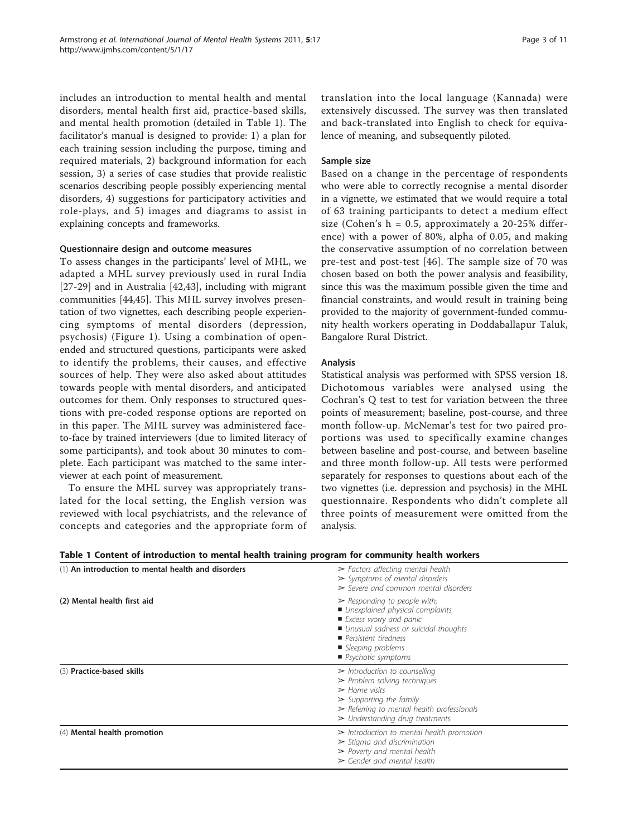includes an introduction to mental health and mental disorders, mental health first aid, practice-based skills, and mental health promotion (detailed in Table 1). The facilitator's manual is designed to provide: 1) a plan for each training session including the purpose, timing and required materials, 2) background information for each session, 3) a series of case studies that provide realistic scenarios describing people possibly experiencing mental disorders, 4) suggestions for participatory activities and role-plays, and 5) images and diagrams to assist in explaining concepts and frameworks.

#### Questionnaire design and outcome measures

To assess changes in the participants' level of MHL, we adapted a MHL survey previously used in rural India [[27-29](#page-9-0)] and in Australia [[42,43\]](#page-10-0), including with migrant communities [\[44,45](#page-10-0)]. This MHL survey involves presentation of two vignettes, each describing people experiencing symptoms of mental disorders (depression, psychosis) (Figure [1](#page-3-0)). Using a combination of openended and structured questions, participants were asked to identify the problems, their causes, and effective sources of help. They were also asked about attitudes towards people with mental disorders, and anticipated outcomes for them. Only responses to structured questions with pre-coded response options are reported on in this paper. The MHL survey was administered faceto-face by trained interviewers (due to limited literacy of some participants), and took about 30 minutes to complete. Each participant was matched to the same interviewer at each point of measurement.

To ensure the MHL survey was appropriately translated for the local setting, the English version was reviewed with local psychiatrists, and the relevance of concepts and categories and the appropriate form of

translation into the local language (Kannada) were extensively discussed. The survey was then translated and back-translated into English to check for equivalence of meaning, and subsequently piloted.

## Sample size

Based on a change in the percentage of respondents who were able to correctly recognise a mental disorder in a vignette, we estimated that we would require a total of 63 training participants to detect a medium effect size (Cohen's  $h = 0.5$ , approximately a 20-25% difference) with a power of 80%, alpha of 0.05, and making the conservative assumption of no correlation between pre-test and post-test [[46](#page-10-0)]. The sample size of 70 was chosen based on both the power analysis and feasibility, since this was the maximum possible given the time and financial constraints, and would result in training being provided to the majority of government-funded community health workers operating in Doddaballapur Taluk, Bangalore Rural District.

## Analysis

Statistical analysis was performed with SPSS version 18. Dichotomous variables were analysed using the Cochran's Q test to test for variation between the three points of measurement; baseline, post-course, and three month follow-up. McNemar's test for two paired proportions was used to specifically examine changes between baseline and post-course, and between baseline and three month follow-up. All tests were performed separately for responses to questions about each of the two vignettes (i.e. depression and psychosis) in the MHL questionnaire. Respondents who didn't complete all three points of measurement were omitted from the analysis.

|  |  | Table 1 Content of introduction to mental health training program for community health workers |  |  |  |  |  |  |  |  |
|--|--|------------------------------------------------------------------------------------------------|--|--|--|--|--|--|--|--|
|--|--|------------------------------------------------------------------------------------------------|--|--|--|--|--|--|--|--|

| (1) An introduction to mental health and disorders | $\triangleright$ Factors affecting mental health<br>$\triangleright$ Symptoms of mental disorders<br>$\triangleright$ Severe and common mental disorders                                                                                                                             |  |  |  |  |
|----------------------------------------------------|--------------------------------------------------------------------------------------------------------------------------------------------------------------------------------------------------------------------------------------------------------------------------------------|--|--|--|--|
| (2) Mental health first aid                        | $\triangleright$ Responding to people with;<br>■ Unexplained physical complaints<br>■ Excess worry and panic<br>Unusual sadness or suicidal thoughts<br>Persistent tiredness<br>■ Sleeping problems<br>■ Psychotic symptoms                                                          |  |  |  |  |
| (3) Practice-based skills                          | $\triangleright$ Introduction to counselling<br>$\triangleright$ Problem solving techniques<br>$\triangleright$ Home visits<br>$\triangleright$ Supporting the family<br>$\triangleright$ Referring to mental health professionals<br>$\triangleright$ Understanding drug treatments |  |  |  |  |
| (4) Mental health promotion                        | $\triangleright$ Introduction to mental health promotion<br>$\triangleright$ Stigma and discrimination<br>$\triangleright$ Poverty and mental health<br>$\triangleright$ Gender and mental health                                                                                    |  |  |  |  |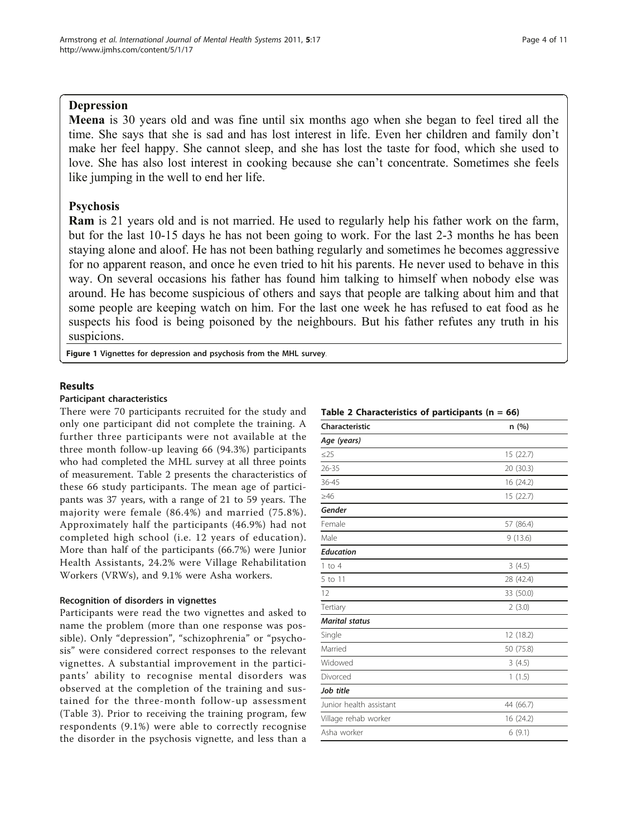## <span id="page-3-0"></span>**Depression**

**Meena** is 30 years old and was fine until six months ago when she began to feel tired all the time. She says that she is sad and has lost interest in life. Even her children and family don't make her feel happy. She cannot sleep, and she has lost the taste for food, which she used to love. She has also lost interest in cooking because she can't concentrate. Sometimes she feels like jumping in the well to end her life.

## **Psychosis**

**Ram** is 21 years old and is not married. He used to regularly help his father work on the farm, but for the last 10-15 days he has not been going to work. For the last 2-3 months he has been staying alone and aloof. He has not been bathing regularly and sometimes he becomes aggressive for no apparent reason, and once he even tried to hit his parents. He never used to behave in this way. On several occasions his father has found him talking to himself when nobody else was around. He has become suspicious of others and says that people are talking about him and that some people are keeping watch on him. For the last one week he has refused to eat food as he suspects his food is being poisoned by the neighbours. But his father refutes any truth in his suspicions.

Figure 1 Vignettes for depression and psychosis from the MHL survey.

## Results

## Participant characteristics

There were 70 participants recruited for the study and only one participant did not complete the training. A further three participants were not available at the three month follow-up leaving 66 (94.3%) participants who had completed the MHL survey at all three points of measurement. Table 2 presents the characteristics of these 66 study participants. The mean age of participants was 37 years, with a range of 21 to 59 years. The majority were female (86.4%) and married (75.8%). Approximately half the participants (46.9%) had not completed high school (i.e. 12 years of education). More than half of the participants (66.7%) were Junior Health Assistants, 24.2% were Village Rehabilitation Workers (VRWs), and 9.1% were Asha workers.

## Recognition of disorders in vignettes

Participants were read the two vignettes and asked to name the problem (more than one response was possible). Only "depression", "schizophrenia" or "psychosis" were considered correct responses to the relevant vignettes. A substantial improvement in the participants' ability to recognise mental disorders was observed at the completion of the training and sustained for the three-month follow-up assessment (Table [3](#page-4-0)). Prior to receiving the training program, few respondents (9.1%) were able to correctly recognise the disorder in the psychosis vignette, and less than a

| Characteristic          | n(%)      |
|-------------------------|-----------|
| Age (years)             |           |
| $\leq$ 25               | 15 (22.7) |
| $26 - 35$               | 20 (30.3) |
| 36-45                   | 16 (24.2) |
| $\geq 46$               | 15(22.7)  |
| Gender                  |           |
| Female                  | 57 (86.4) |
| Male                    | 9(13.6)   |
| <b>Education</b>        |           |
| $1$ to $4$              | 3(4.5)    |
| 5 to 11                 | 28 (42.4) |
| 12                      | 33 (50.0) |
| Tertiary                | 2(3.0)    |
| <b>Marital status</b>   |           |
| Single                  | 12 (18.2) |
| Married                 | 50 (75.8) |
| Widowed                 | 3(4.5)    |
| Divorced                | 1(1.5)    |
| Job title               |           |
| Junior health assistant | 44 (66.7) |
| Village rehab worker    | 16 (24.2) |
| Asha worker             | 6(9.1)    |

#### Table 2 Characteristics of participants  $(n - 66)$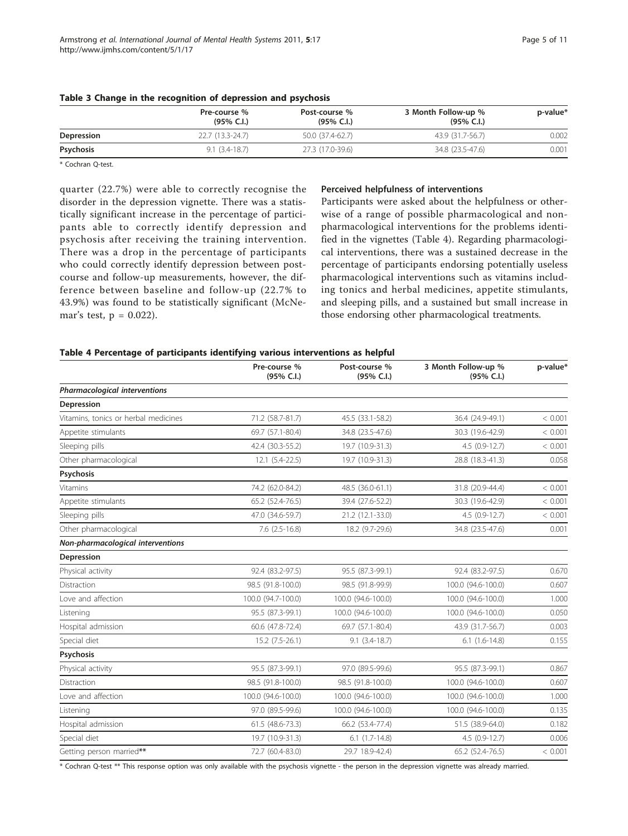|            | Pre-course %<br>(95% C.I.) | Post-course %<br>(95% C.I.) | 3 Month Follow-up %<br>(95% C.I.) | p-value* |
|------------|----------------------------|-----------------------------|-----------------------------------|----------|
| Depression | 22.7 (13.3-24.7)           | 50.0 (37.4-62.7)            | 43.9 (31.7-56.7)                  | 0.002    |
| Psychosis  | $9.1(3.4-18.7)$            | 27.3 (17.0-39.6)            | 34.8 (23.5-47.6)                  | 0.001    |

<span id="page-4-0"></span>

| Table 3 Change in the recognition of depression and psychosis |  |  |  |
|---------------------------------------------------------------|--|--|--|
|---------------------------------------------------------------|--|--|--|

\* Cochran Q-test.

quarter (22.7%) were able to correctly recognise the disorder in the depression vignette. There was a statistically significant increase in the percentage of participants able to correctly identify depression and psychosis after receiving the training intervention. There was a drop in the percentage of participants who could correctly identify depression between postcourse and follow-up measurements, however, the difference between baseline and follow-up (22.7% to 43.9%) was found to be statistically significant (McNemar's test,  $p = 0.022$ ).

#### Perceived helpfulness of interventions

Participants were asked about the helpfulness or otherwise of a range of possible pharmacological and nonpharmacological interventions for the problems identified in the vignettes (Table 4). Regarding pharmacological interventions, there was a sustained decrease in the percentage of participants endorsing potentially useless pharmacological interventions such as vitamins including tonics and herbal medicines, appetite stimulants, and sleeping pills, and a sustained but small increase in those endorsing other pharmacological treatments.

#### Table 4 Percentage of participants identifying various interventions as helpful

|                                      | Pre-course %<br>(95% C.I.) | Post-course %<br>(95% C.I.) | 3 Month Follow-up %<br>(95% C.I.) | p-value* |
|--------------------------------------|----------------------------|-----------------------------|-----------------------------------|----------|
| Pharmacological interventions        |                            |                             |                                   |          |
| Depression                           |                            |                             |                                   |          |
| Vitamins, tonics or herbal medicines | 71.2 (58.7-81.7)           | 45.5 (33.1-58.2)            | 36.4 (24.9-49.1)                  | < 0.001  |
| Appetite stimulants                  | 69.7 (57.1-80.4)           | 34.8 (23.5-47.6)            | 30.3 (19.6-42.9)                  | < 0.001  |
| Sleeping pills                       | 42.4 (30.3-55.2)           | 19.7 (10.9-31.3)            | $4.5(0.9-12.7)$                   | < 0.001  |
| Other pharmacological                | $12.1 (5.4 - 22.5)$        | 19.7 (10.9-31.3)            | 28.8 (18.3-41.3)                  | 0.058    |
| <b>Psychosis</b>                     |                            |                             |                                   |          |
| Vitamins                             | 74.2 (62.0-84.2)           | 48.5 (36.0-61.1)            | 31.8 (20.9-44.4)                  | < 0.001  |
| Appetite stimulants                  | 65.2 (52.4-76.5)           | 39.4 (27.6-52.2)            | 30.3 (19.6-42.9)                  | < 0.001  |
| Sleeping pills                       | 47.0 (34.6-59.7)           | 21.2 (12.1-33.0)            | $4.5(0.9-12.7)$                   | < 0.001  |
| Other pharmacological                | $7.6$ $(2.5 - 16.8)$       | 18.2 (9.7-29.6)             | 34.8 (23.5-47.6)                  | 0.001    |
| Non-pharmacological interventions    |                            |                             |                                   |          |
| Depression                           |                            |                             |                                   |          |
| Physical activity                    | 92.4 (83.2-97.5)           | 95.5 (87.3-99.1)            | 92.4 (83.2-97.5)                  | 0.670    |
| Distraction                          | 98.5 (91.8-100.0)          | 98.5 (91.8-99.9)            | 100.0 (94.6-100.0)                | 0.607    |
| Love and affection                   | 100.0 (94.7-100.0)         | 100.0 (94.6-100.0)          | 100.0 (94.6-100.0)                | 1.000    |
| Listening                            | 95.5 (87.3-99.1)           | 100.0 (94.6-100.0)          | 100.0 (94.6-100.0)                | 0.050    |
| Hospital admission                   | 60.6 (47.8-72.4)           | 69.7 (57.1-80.4)            | 43.9 (31.7-56.7)                  | 0.003    |
| Special diet                         | 15.2 (7.5-26.1)            | $9.1(3.4-18.7)$             | $6.1(1.6-14.8)$                   | 0.155    |
| <b>Psychosis</b>                     |                            |                             |                                   |          |
| Physical activity                    | 95.5 (87.3-99.1)           | 97.0 (89.5-99.6)            | 95.5 (87.3-99.1)                  | 0.867    |
| Distraction                          | 98.5 (91.8-100.0)          | 98.5 (91.8-100.0)           | 100.0 (94.6-100.0)                | 0.607    |
| Love and affection                   | 100.0 (94.6-100.0)         | 100.0 (94.6-100.0)          | 100.0 (94.6-100.0)                | 1.000    |
| Listening                            | 97.0 (89.5-99.6)           | 100.0 (94.6-100.0)          | 100.0 (94.6-100.0)                | 0.135    |
| Hospital admission                   | 61.5 (48.6-73.3)           | 66.2 (53.4-77.4)            | 51.5 (38.9-64.0)                  | 0.182    |
| Special diet                         | 19.7 (10.9-31.3)           | $6.1(1.7-14.8)$             | $4.5(0.9-12.7)$                   | 0.006    |
| Getting person married**             | 72.7 (60.4-83.0)           | 29.7 18.9-42.4)             | 65.2 (52.4-76.5)                  | < 0.001  |

\* Cochran Q-test \*\* This response option was only available with the psychosis vignette - the person in the depression vignette was already married.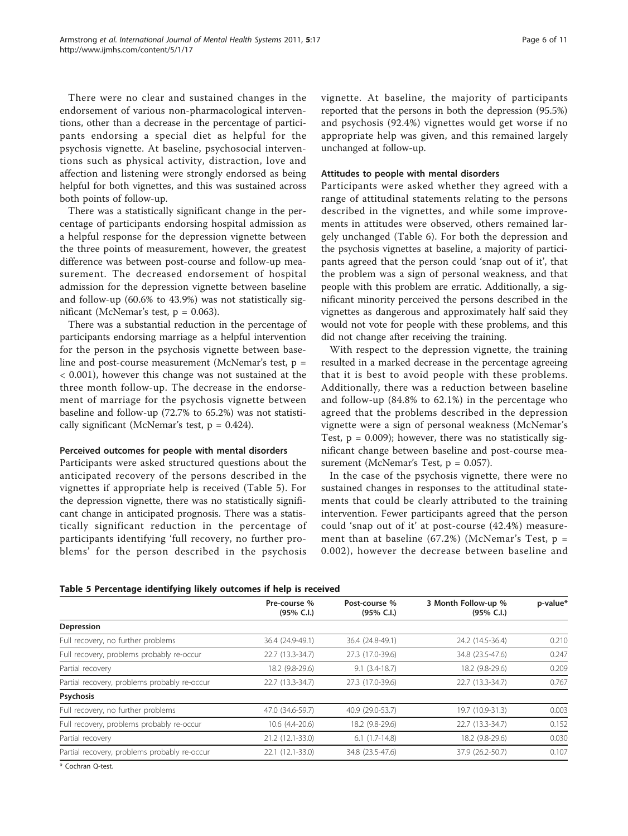There were no clear and sustained changes in the endorsement of various non-pharmacological interventions, other than a decrease in the percentage of participants endorsing a special diet as helpful for the psychosis vignette. At baseline, psychosocial interventions such as physical activity, distraction, love and affection and listening were strongly endorsed as being

helpful for both vignettes, and this was sustained across both points of follow-up. There was a statistically significant change in the percentage of participants endorsing hospital admission as

a helpful response for the depression vignette between the three points of measurement, however, the greatest difference was between post-course and follow-up measurement. The decreased endorsement of hospital admission for the depression vignette between baseline and follow-up (60.6% to 43.9%) was not statistically significant (McNemar's test,  $p = 0.063$ ).

There was a substantial reduction in the percentage of participants endorsing marriage as a helpful intervention for the person in the psychosis vignette between baseline and post-course measurement (McNemar's test,  $p =$ < 0.001), however this change was not sustained at the three month follow-up. The decrease in the endorsement of marriage for the psychosis vignette between baseline and follow-up (72.7% to 65.2%) was not statistically significant (McNemar's test,  $p = 0.424$ ).

#### Perceived outcomes for people with mental disorders

Participants were asked structured questions about the anticipated recovery of the persons described in the vignettes if appropriate help is received (Table 5). For the depression vignette, there was no statistically significant change in anticipated prognosis. There was a statistically significant reduction in the percentage of participants identifying 'full recovery, no further problems' for the person described in the psychosis

vignette. At baseline, the majority of participants reported that the persons in both the depression (95.5%) and psychosis (92.4%) vignettes would get worse if no appropriate help was given, and this remained largely unchanged at follow-up.

#### Attitudes to people with mental disorders

Participants were asked whether they agreed with a range of attitudinal statements relating to the persons described in the vignettes, and while some improvements in attitudes were observed, others remained largely unchanged (Table [6](#page-6-0)). For both the depression and the psychosis vignettes at baseline, a majority of participants agreed that the person could 'snap out of it', that the problem was a sign of personal weakness, and that people with this problem are erratic. Additionally, a significant minority perceived the persons described in the vignettes as dangerous and approximately half said they would not vote for people with these problems, and this did not change after receiving the training.

With respect to the depression vignette, the training resulted in a marked decrease in the percentage agreeing that it is best to avoid people with these problems. Additionally, there was a reduction between baseline and follow-up (84.8% to 62.1%) in the percentage who agreed that the problems described in the depression vignette were a sign of personal weakness (McNemar's Test,  $p = 0.009$ ); however, there was no statistically significant change between baseline and post-course measurement (McNemar's Test,  $p = 0.057$ ).

In the case of the psychosis vignette, there were no sustained changes in responses to the attitudinal statements that could be clearly attributed to the training intervention. Fewer participants agreed that the person could 'snap out of it' at post-course (42.4%) measurement than at baseline  $(67.2%)$  (McNemar's Test,  $p =$ 0.002), however the decrease between baseline and

|  |  |  |  | Table 5 Percentage identifying likely outcomes if help is received |
|--|--|--|--|--------------------------------------------------------------------|
|--|--|--|--|--------------------------------------------------------------------|

|                                              | Pre-course %<br>(95% C.I.) | Post-course %<br>(95% C.I.) | 3 Month Follow-up %<br>(95% C.I.) | p-value* |
|----------------------------------------------|----------------------------|-----------------------------|-----------------------------------|----------|
| Depression                                   |                            |                             |                                   |          |
| Full recovery, no further problems           | 36.4 (24.9-49.1)           | 36.4 (24.8-49.1)            | 24.2 (14.5-36.4)                  | 0.210    |
| Full recovery, problems probably re-occur    | 22.7 (13.3-34.7)           | 27.3 (17.0-39.6)            | 34.8 (23.5-47.6)                  | 0.247    |
| Partial recovery                             | 18.2 (9.8-29.6)            | $9.1(3.4-18.7)$             | 18.2 (9.8-29.6)                   | 0.209    |
| Partial recovery, problems probably re-occur | 22.7 (13.3-34.7)           | 27.3 (17.0-39.6)            | 22.7 (13.3-34.7)                  | 0.767    |
| Psychosis                                    |                            |                             |                                   |          |
| Full recovery, no further problems           | 47.0 (34.6-59.7)           | 40.9 (29.0-53.7)            | 19.7 (10.9-31.3)                  | 0.003    |
| Full recovery, problems probably re-occur    | 10.6 (4.4-20.6)            | 18.2 (9.8-29.6)             | 22.7 (13.3-34.7)                  | 0.152    |
| Partial recovery                             | 21.2 (12.1-33.0)           | $6.1(1.7-14.8)$             | 18.2 (9.8-29.6)                   | 0.030    |
| Partial recovery, problems probably re-occur | 22.1 (12.1-33.0)           | 34.8 (23.5-47.6)            | 37.9 (26.2-50.7)                  | 0.107    |
|                                              |                            |                             |                                   |          |

\* Cochran Q-test.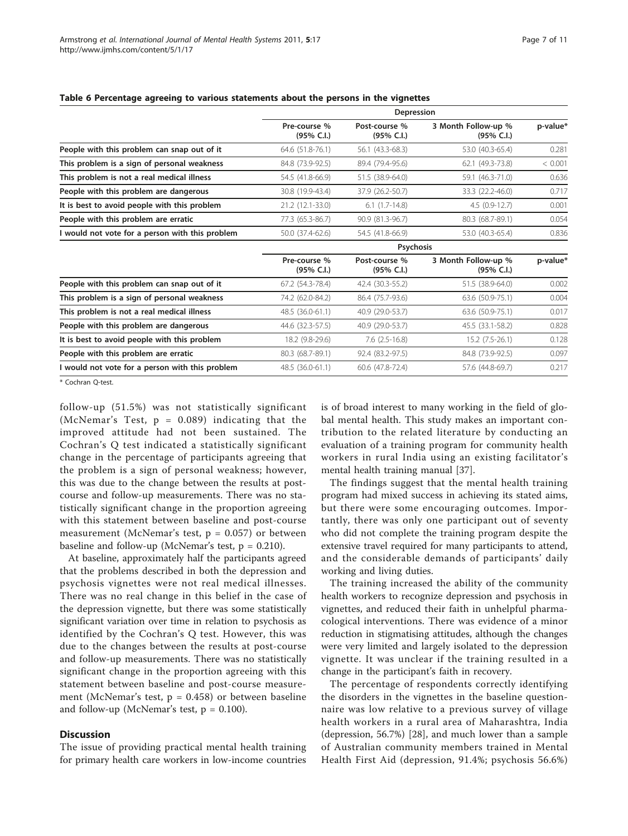|                                                 | Depression                 |                             |                                   |          |  |
|-------------------------------------------------|----------------------------|-----------------------------|-----------------------------------|----------|--|
|                                                 | Pre-course %<br>(95% C.I.) | Post-course %<br>(95% C.I.) | 3 Month Follow-up %<br>(95% C.I.) | p-value* |  |
| People with this problem can snap out of it     | 64.6 (51.8-76.1)           | 56.1 (43.3-68.3)            | 53.0 (40.3-65.4)                  | 0.281    |  |
| This problem is a sign of personal weakness     | 84.8 (73.9-92.5)           | 89.4 (79.4-95.6)            | 62.1 (49.3-73.8)                  | < 0.001  |  |
| This problem is not a real medical illness      | 54.5 (41.8-66.9)           | 51.5 (38.9-64.0)            | 59.1 (46.3-71.0)                  | 0.636    |  |
| People with this problem are dangerous          | 30.8 (19.9-43.4)           | 37.9 (26.2-50.7)            | 33.3 (22.2-46.0)                  | 0.717    |  |
| It is best to avoid people with this problem    | 21.2 (12.1-33.0)           | $6.1(1.7-14.8)$             | $4.5(0.9-12.7)$                   | 0.001    |  |
| People with this problem are erratic            | 77.3 (65.3-86.7)           | 90.9 (81.3-96.7)            | 80.3 (68.7-89.1)                  | 0.054    |  |
| I would not vote for a person with this problem | 50.0 (37.4-62.6)           | 54.5 (41.8-66.9)            | 53.0 (40.3-65.4)                  | 0.836    |  |
|                                                 |                            | Psychosis                   |                                   |          |  |
|                                                 | Pre-course %<br>(95% C.I.) | Post-course %<br>(95% C.I.) | 3 Month Follow-up %<br>(95% C.I.) | p-value* |  |
| People with this problem can snap out of it     | 67.2 (54.3-78.4)           | 42.4 (30.3-55.2)            | 51.5 (38.9-64.0)                  | 0.002    |  |
| This problem is a sign of personal weakness     | 74.2 (62.0-84.2)           | 86.4 (75.7-93.6)            | 63.6 (50.9-75.1)                  | 0.004    |  |
| This problem is not a real medical illness      | 48.5 (36.0-61.1)           | 40.9 (29.0-53.7)            | 63.6 (50.9-75.1)                  | 0.017    |  |
| People with this problem are dangerous          | 44.6 (32.3-57.5)           | 40.9 (29.0-53.7)            | 45.5 (33.1-58.2)                  | 0.828    |  |
| It is best to avoid people with this problem    | 18.2 (9.8-29.6)            | $7.6$ $(2.5-16.8)$          | 15.2 (7.5-26.1)                   | 0.128    |  |
| People with this problem are erratic            | 80.3 (68.7-89.1)           | 92.4 (83.2-97.5)            | 84.8 (73.9-92.5)                  | 0.097    |  |
| I would not vote for a person with this problem | 48.5 (36.0-61.1)           | 60.6 (47.8-72.4)            | 57.6 (44.8-69.7)                  | 0.217    |  |

<span id="page-6-0"></span>Table 6 Percentage agreeing to various statements about the persons in the vignettes

\* Cochran Q-test.

follow-up (51.5%) was not statistically significant (McNemar's Test,  $p = 0.089$ ) indicating that the improved attitude had not been sustained. The Cochran's Q test indicated a statistically significant change in the percentage of participants agreeing that the problem is a sign of personal weakness; however, this was due to the change between the results at postcourse and follow-up measurements. There was no statistically significant change in the proportion agreeing with this statement between baseline and post-course measurement (McNemar's test,  $p = 0.057$ ) or between baseline and follow-up (McNemar's test,  $p = 0.210$ ).

At baseline, approximately half the participants agreed that the problems described in both the depression and psychosis vignettes were not real medical illnesses. There was no real change in this belief in the case of the depression vignette, but there was some statistically significant variation over time in relation to psychosis as identified by the Cochran's Q test. However, this was due to the changes between the results at post-course and follow-up measurements. There was no statistically significant change in the proportion agreeing with this statement between baseline and post-course measurement (McNemar's test,  $p = 0.458$ ) or between baseline and follow-up (McNemar's test,  $p = 0.100$ ).

### **Discussion**

The issue of providing practical mental health training for primary health care workers in low-income countries is of broad interest to many working in the field of global mental health. This study makes an important contribution to the related literature by conducting an evaluation of a training program for community health workers in rural India using an existing facilitator's mental health training manual [[37](#page-10-0)].

The findings suggest that the mental health training program had mixed success in achieving its stated aims, but there were some encouraging outcomes. Importantly, there was only one participant out of seventy who did not complete the training program despite the extensive travel required for many participants to attend, and the considerable demands of participants' daily working and living duties.

The training increased the ability of the community health workers to recognize depression and psychosis in vignettes, and reduced their faith in unhelpful pharmacological interventions. There was evidence of a minor reduction in stigmatising attitudes, although the changes were very limited and largely isolated to the depression vignette. It was unclear if the training resulted in a change in the participant's faith in recovery.

The percentage of respondents correctly identifying the disorders in the vignettes in the baseline questionnaire was low relative to a previous survey of village health workers in a rural area of Maharashtra, India (depression, 56.7%) [[28\]](#page-9-0), and much lower than a sample of Australian community members trained in Mental Health First Aid (depression, 91.4%; psychosis 56.6%)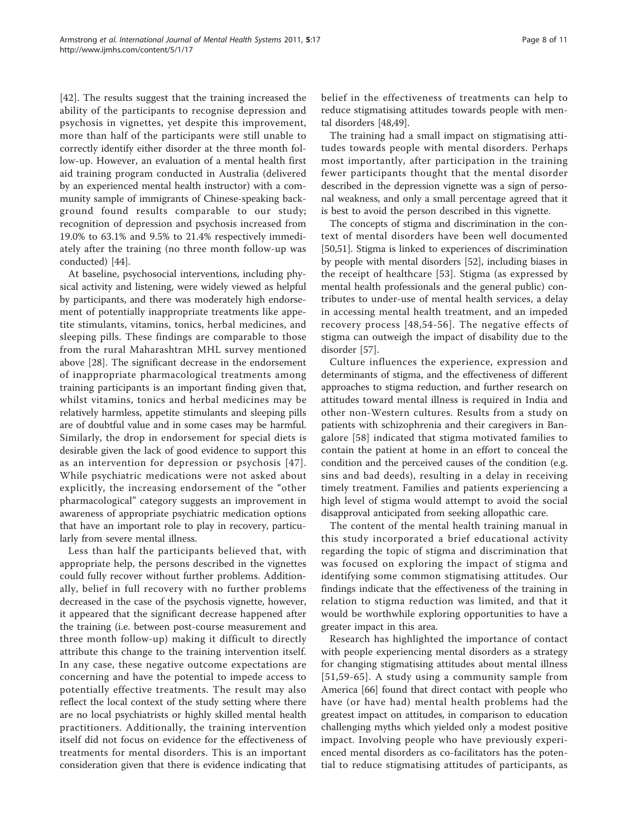[[42\]](#page-10-0). The results suggest that the training increased the ability of the participants to recognise depression and psychosis in vignettes, yet despite this improvement, more than half of the participants were still unable to correctly identify either disorder at the three month follow-up. However, an evaluation of a mental health first aid training program conducted in Australia (delivered by an experienced mental health instructor) with a community sample of immigrants of Chinese-speaking background found results comparable to our study; recognition of depression and psychosis increased from 19.0% to 63.1% and 9.5% to 21.4% respectively immediately after the training (no three month follow-up was conducted) [[44](#page-10-0)].

At baseline, psychosocial interventions, including physical activity and listening, were widely viewed as helpful by participants, and there was moderately high endorsement of potentially inappropriate treatments like appetite stimulants, vitamins, tonics, herbal medicines, and sleeping pills. These findings are comparable to those from the rural Maharashtran MHL survey mentioned above [[28\]](#page-9-0). The significant decrease in the endorsement of inappropriate pharmacological treatments among training participants is an important finding given that, whilst vitamins, tonics and herbal medicines may be relatively harmless, appetite stimulants and sleeping pills are of doubtful value and in some cases may be harmful. Similarly, the drop in endorsement for special diets is desirable given the lack of good evidence to support this as an intervention for depression or psychosis [[47\]](#page-10-0). While psychiatric medications were not asked about explicitly, the increasing endorsement of the "other pharmacological" category suggests an improvement in awareness of appropriate psychiatric medication options that have an important role to play in recovery, particularly from severe mental illness.

Less than half the participants believed that, with appropriate help, the persons described in the vignettes could fully recover without further problems. Additionally, belief in full recovery with no further problems decreased in the case of the psychosis vignette, however, it appeared that the significant decrease happened after the training (i.e. between post-course measurement and three month follow-up) making it difficult to directly attribute this change to the training intervention itself. In any case, these negative outcome expectations are concerning and have the potential to impede access to potentially effective treatments. The result may also reflect the local context of the study setting where there are no local psychiatrists or highly skilled mental health practitioners. Additionally, the training intervention itself did not focus on evidence for the effectiveness of treatments for mental disorders. This is an important consideration given that there is evidence indicating that belief in the effectiveness of treatments can help to reduce stigmatising attitudes towards people with mental disorders [[48](#page-10-0),[49](#page-10-0)].

The training had a small impact on stigmatising attitudes towards people with mental disorders. Perhaps most importantly, after participation in the training fewer participants thought that the mental disorder described in the depression vignette was a sign of personal weakness, and only a small percentage agreed that it is best to avoid the person described in this vignette.

The concepts of stigma and discrimination in the context of mental disorders have been well documented [[50,51\]](#page-10-0). Stigma is linked to experiences of discrimination by people with mental disorders [[52](#page-10-0)], including biases in the receipt of healthcare [[53\]](#page-10-0). Stigma (as expressed by mental health professionals and the general public) contributes to under-use of mental health services, a delay in accessing mental health treatment, and an impeded recovery process [[48,54](#page-10-0)-[56\]](#page-10-0). The negative effects of stigma can outweigh the impact of disability due to the disorder [[57](#page-10-0)].

Culture influences the experience, expression and determinants of stigma, and the effectiveness of different approaches to stigma reduction, and further research on attitudes toward mental illness is required in India and other non-Western cultures. Results from a study on patients with schizophrenia and their caregivers in Bangalore [\[58\]](#page-10-0) indicated that stigma motivated families to contain the patient at home in an effort to conceal the condition and the perceived causes of the condition (e.g. sins and bad deeds), resulting in a delay in receiving timely treatment. Families and patients experiencing a high level of stigma would attempt to avoid the social disapproval anticipated from seeking allopathic care.

The content of the mental health training manual in this study incorporated a brief educational activity regarding the topic of stigma and discrimination that was focused on exploring the impact of stigma and identifying some common stigmatising attitudes. Our findings indicate that the effectiveness of the training in relation to stigma reduction was limited, and that it would be worthwhile exploring opportunities to have a greater impact in this area.

Research has highlighted the importance of contact with people experiencing mental disorders as a strategy for changing stigmatising attitudes about mental illness [[51,59-65](#page-10-0)]. A study using a community sample from America [[66\]](#page-10-0) found that direct contact with people who have (or have had) mental health problems had the greatest impact on attitudes, in comparison to education challenging myths which yielded only a modest positive impact. Involving people who have previously experienced mental disorders as co-facilitators has the potential to reduce stigmatising attitudes of participants, as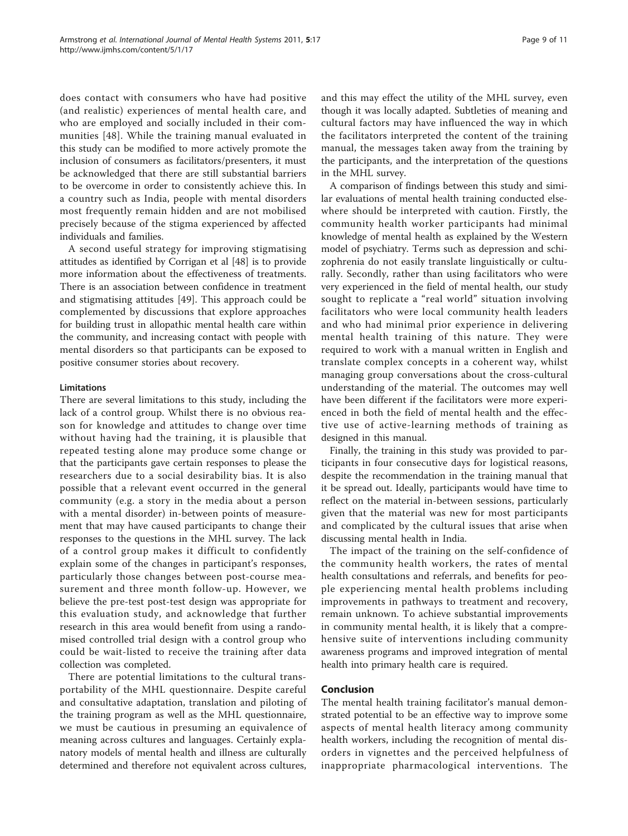does contact with consumers who have had positive (and realistic) experiences of mental health care, and who are employed and socially included in their communities [[48\]](#page-10-0). While the training manual evaluated in this study can be modified to more actively promote the inclusion of consumers as facilitators/presenters, it must be acknowledged that there are still substantial barriers to be overcome in order to consistently achieve this. In a country such as India, people with mental disorders most frequently remain hidden and are not mobilised precisely because of the stigma experienced by affected individuals and families.

A second useful strategy for improving stigmatising attitudes as identified by Corrigan et al [\[48\]](#page-10-0) is to provide more information about the effectiveness of treatments. There is an association between confidence in treatment and stigmatising attitudes [[49\]](#page-10-0). This approach could be complemented by discussions that explore approaches for building trust in allopathic mental health care within the community, and increasing contact with people with mental disorders so that participants can be exposed to positive consumer stories about recovery.

#### Limitations

There are several limitations to this study, including the lack of a control group. Whilst there is no obvious reason for knowledge and attitudes to change over time without having had the training, it is plausible that repeated testing alone may produce some change or that the participants gave certain responses to please the researchers due to a social desirability bias. It is also possible that a relevant event occurred in the general community (e.g. a story in the media about a person with a mental disorder) in-between points of measurement that may have caused participants to change their responses to the questions in the MHL survey. The lack of a control group makes it difficult to confidently explain some of the changes in participant's responses, particularly those changes between post-course measurement and three month follow-up. However, we believe the pre-test post-test design was appropriate for this evaluation study, and acknowledge that further research in this area would benefit from using a randomised controlled trial design with a control group who could be wait-listed to receive the training after data collection was completed.

There are potential limitations to the cultural transportability of the MHL questionnaire. Despite careful and consultative adaptation, translation and piloting of the training program as well as the MHL questionnaire, we must be cautious in presuming an equivalence of meaning across cultures and languages. Certainly explanatory models of mental health and illness are culturally determined and therefore not equivalent across cultures, and this may effect the utility of the MHL survey, even though it was locally adapted. Subtleties of meaning and cultural factors may have influenced the way in which the facilitators interpreted the content of the training manual, the messages taken away from the training by the participants, and the interpretation of the questions in the MHL survey.

A comparison of findings between this study and similar evaluations of mental health training conducted elsewhere should be interpreted with caution. Firstly, the community health worker participants had minimal knowledge of mental health as explained by the Western model of psychiatry. Terms such as depression and schizophrenia do not easily translate linguistically or culturally. Secondly, rather than using facilitators who were very experienced in the field of mental health, our study sought to replicate a "real world" situation involving facilitators who were local community health leaders and who had minimal prior experience in delivering mental health training of this nature. They were required to work with a manual written in English and translate complex concepts in a coherent way, whilst managing group conversations about the cross-cultural understanding of the material. The outcomes may well have been different if the facilitators were more experienced in both the field of mental health and the effective use of active-learning methods of training as designed in this manual.

Finally, the training in this study was provided to participants in four consecutive days for logistical reasons, despite the recommendation in the training manual that it be spread out. Ideally, participants would have time to reflect on the material in-between sessions, particularly given that the material was new for most participants and complicated by the cultural issues that arise when discussing mental health in India.

The impact of the training on the self-confidence of the community health workers, the rates of mental health consultations and referrals, and benefits for people experiencing mental health problems including improvements in pathways to treatment and recovery, remain unknown. To achieve substantial improvements in community mental health, it is likely that a comprehensive suite of interventions including community awareness programs and improved integration of mental health into primary health care is required.

#### Conclusion

The mental health training facilitator's manual demonstrated potential to be an effective way to improve some aspects of mental health literacy among community health workers, including the recognition of mental disorders in vignettes and the perceived helpfulness of inappropriate pharmacological interventions. The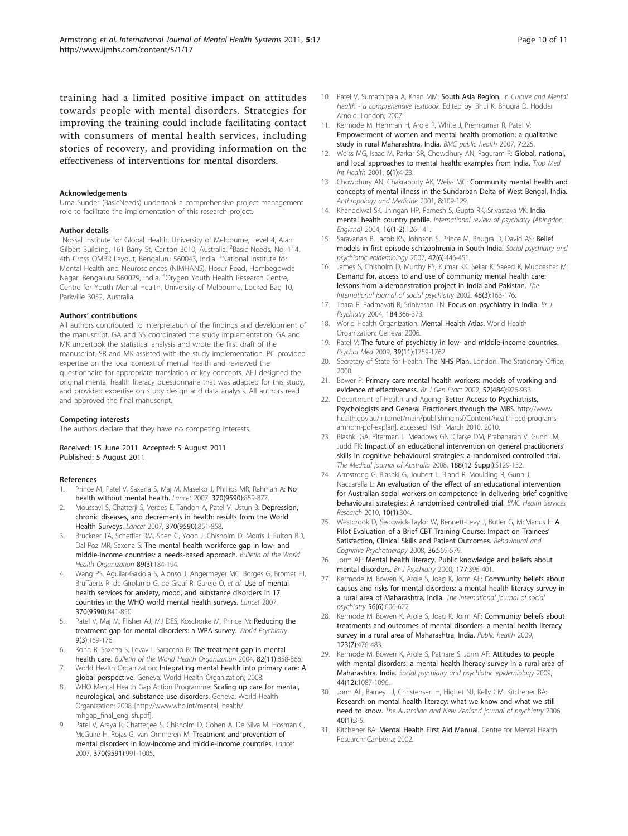<span id="page-9-0"></span>training had a limited positive impact on attitudes towards people with mental disorders. Strategies for improving the training could include facilitating contact with consumers of mental health services, including stories of recovery, and providing information on the effectiveness of interventions for mental disorders.

#### Acknowledgements

Uma Sunder (BasicNeeds) undertook a comprehensive project management role to facilitate the implementation of this research project.

#### Author details

<sup>1</sup>Nossal Institute for Global Health, University of Melbourne, Level 4, Alan Gilbert Building, 161 Barry St, Carlton 3010, Australia. <sup>2</sup>Basic Needs, No. 114, 4th Cross OMBR Layout, Bengaluru 560043, India. <sup>3</sup>National Institute for Mental Health and Neurosciences (NIMHANS), Hosur Road, Hombegowda Nagar, Bengaluru 560029, India. <sup>4</sup>Orygen Youth Health Research Centre, Centre for Youth Mental Health, University of Melbourne, Locked Bag 10, Parkville 3052, Australia.

#### Authors' contributions

All authors contributed to interpretation of the findings and development of the manuscript. GA and SS coordinated the study implementation. GA and MK undertook the statistical analysis and wrote the first draft of the manuscript. SR and MK assisted with the study implementation. PC provided expertise on the local context of mental health and reviewed the questionnaire for appropriate translation of key concepts. AFJ designed the original mental health literacy questionnaire that was adapted for this study, and provided expertise on study design and data analysis. All authors read and approved the final manuscript.

#### Competing interests

The authors declare that they have no competing interests.

Received: 15 June 2011 Accepted: 5 August 2011 Published: 5 August 2011

#### References

- Prince M, Patel V, Saxena S, Maj M, Maselko J, Phillips MR, Rahman A: [No](http://www.ncbi.nlm.nih.gov/pubmed/17804063?dopt=Abstract) [health without mental health.](http://www.ncbi.nlm.nih.gov/pubmed/17804063?dopt=Abstract) Lancet 2007, 370(9590):859-877.
- 2. Moussavi S, Chatterji S, Verdes E, Tandon A, Patel V, Ustun B: [Depression,](http://www.ncbi.nlm.nih.gov/pubmed/17826170?dopt=Abstract) [chronic diseases, and decrements in health: results from the World](http://www.ncbi.nlm.nih.gov/pubmed/17826170?dopt=Abstract) [Health Surveys.](http://www.ncbi.nlm.nih.gov/pubmed/17826170?dopt=Abstract) Lancet 2007, 370(9590):851-858.
- 3. Bruckner TA, Scheffler RM, Shen G, Yoon J, Chisholm D, Morris J, Fulton BD, Dal Poz MR, Saxena S: The mental health workforce gap in low- and middle-income countries: a needs-based approach. Bulletin of the World Health Organization 89(3):184-194.
- 4. Wang PS, Aguilar-Gaxiola S, Alonso J, Angermeyer MC, Borges G, Bromet EJ, Bruffaerts R, de Girolamo G, de Graaf R, Gureje O, et al: [Use of mental](http://www.ncbi.nlm.nih.gov/pubmed/17826169?dopt=Abstract) [health services for anxiety, mood, and substance disorders in 17](http://www.ncbi.nlm.nih.gov/pubmed/17826169?dopt=Abstract) [countries in the WHO world mental health surveys.](http://www.ncbi.nlm.nih.gov/pubmed/17826169?dopt=Abstract) Lancet 2007, 370(9590):841-850.
- Patel V, Maj M, Flisher AJ, MJ DES, Koschorke M, Prince M: Reducing the treatment gap for mental disorders: a WPA survey. World Psychiatry 9(3):169-176.
- 6. Kohn R, Saxena S, Levav I, Saraceno B: [The treatment gap in mental](http://www.ncbi.nlm.nih.gov/pubmed/15640922?dopt=Abstract) [health care.](http://www.ncbi.nlm.nih.gov/pubmed/15640922?dopt=Abstract) Bulletin of the World Health Organization 2004, 82(11):858-866.
- 7. World Health Organization: Integrating mental health into primary care: A global perspective. Geneva: World Health Organization; 2008.
- 8. WHO Mental Health Gap Action Programme: Scaling up care for mental, neurological, and substance use disorders. Geneva: World Health Organization; 2008 [\[http://www.who.int/mental\\_health/](http://www.who.int/mental_health/mhgap_final_english.pdf) [mhgap\\_final\\_english.pdf\]](http://www.who.int/mental_health/mhgap_final_english.pdf).
- 9. Patel V, Araya R, Chatterjee S, Chisholm D, Cohen A, De Silva M, Hosman C, McGuire H, Rojas G, van Ommeren M: [Treatment and prevention of](http://www.ncbi.nlm.nih.gov/pubmed/17804058?dopt=Abstract) [mental disorders in low-income and middle-income countries.](http://www.ncbi.nlm.nih.gov/pubmed/17804058?dopt=Abstract) Lancet 2007, 370(9591):991-1005.
- 10. Patel V, Sumathipala A, Khan MM: South Asia Region. In Culture and Mental Health - a comprehensive textbook. Edited by: Bhui K, Bhugra D. Hodder Arnold: London; 2007:.
- 11. Kermode M, Herrman H, Arole R, White J, Premkumar R, Patel V: [Empowerment of women and mental health promotion: a qualitative](http://www.ncbi.nlm.nih.gov/pubmed/17761003?dopt=Abstract) [study in rural Maharashtra, India.](http://www.ncbi.nlm.nih.gov/pubmed/17761003?dopt=Abstract) BMC public health 2007, 7:225.
- 12. Weiss MG, Isaac M, Parkar SR, Chowdhury AN, Raguram R: [Global, national,](http://www.ncbi.nlm.nih.gov/pubmed/11251893?dopt=Abstract) [and local approaches to mental health: examples from India.](http://www.ncbi.nlm.nih.gov/pubmed/11251893?dopt=Abstract) Trop Med Int Health 2001, 6(1):4-23.
- 13. Chowdhury AN, Chakraborty AK, Weiss MG: Community mental health and concepts of mental illness in the Sundarban Delta of West Bengal, India. Anthropology and Medicine 2001, 8:109-129.
- 14. Khandelwal SK, Jhingan HP, Ramesh S, Gupta RK, Srivastava VK: India mental health country profile. International review of psychiatry (Abingdon, England) 2004, 16(1-2):126-141.
- 15. Saravanan B, Jacob KS, Johnson S, Prince M, Bhugra D, David AS: [Belief](http://www.ncbi.nlm.nih.gov/pubmed/17502975?dopt=Abstract) [models in first episode schizophrenia in South India.](http://www.ncbi.nlm.nih.gov/pubmed/17502975?dopt=Abstract) Social psychiatry and psychiatric epidemiology 2007, 42(6):446-451.
- 16. James S, Chisholm D, Murthy RS, Kumar KK, Sekar K, Saeed K, Mubbashar M: [Demand for, access to and use of community mental health care:](http://www.ncbi.nlm.nih.gov/pubmed/12413245?dopt=Abstract) [lessons from a demonstration project in India and Pakistan.](http://www.ncbi.nlm.nih.gov/pubmed/12413245?dopt=Abstract) The International journal of social psychiatry 2002, 48(3):163-176.
- 17. Thara R, Padmavati R, Srinivasan TN: [Focus on psychiatry in India.](http://www.ncbi.nlm.nih.gov/pubmed/15104094?dopt=Abstract) Br J Psychiatry 2004, 184:366-373.
- 18. World Health Organization: Mental Health Atlas. World Health Organization: Geneva; 2006.
- 19. Patel V: [The future of psychiatry in low- and middle-income countries.](http://www.ncbi.nlm.nih.gov/pubmed/20162837?dopt=Abstract) Psychol Med 2009, 39(11):1759-1762.
- 20. Secretary of State for Health: The NHS Plan. London: The Stationary Office; 2000.
- 21. Bower P: [Primary care mental health workers: models of working and](http://www.ncbi.nlm.nih.gov/pubmed/12434963?dopt=Abstract) [evidence of effectiveness.](http://www.ncbi.nlm.nih.gov/pubmed/12434963?dopt=Abstract) Br J Gen Pract 2002, 52(484):926-933.
- 22. Department of Health and Ageing: Better Access to Psychiatrists, Psychologists and General Practioners through the MBS.[[http://www.](http://www.health.gov.au/internet/main/publishing.nsf/Content/health-pcd-programs-amhpm-pdf-explan) [health.gov.au/internet/main/publishing.nsf/Content/health-pcd-programs](http://www.health.gov.au/internet/main/publishing.nsf/Content/health-pcd-programs-amhpm-pdf-explan)[amhpm-pdf-explan](http://www.health.gov.au/internet/main/publishing.nsf/Content/health-pcd-programs-amhpm-pdf-explan)], accessed 19th March 2010. 2010.
- 23. Blashki GA, Piterman L, Meadows GN, Clarke DM, Prabaharan V, Gunn JM, Judd FK: [Impact of an educational intervention on general practitioners](http://www.ncbi.nlm.nih.gov/pubmed/18558913?dopt=Abstract)' [skills in cognitive behavioural strategies: a randomised controlled trial.](http://www.ncbi.nlm.nih.gov/pubmed/18558913?dopt=Abstract) The Medical journal of Australia 2008, 188(12 Suppl):S129-132.
- 24. Armstrong G, Blashki G, Joubert L, Bland R, Moulding R, Gunn J, Naccarella L: [An evaluation of the effect of an educational intervention](http://www.ncbi.nlm.nih.gov/pubmed/21050497?dopt=Abstract) [for Australian social workers on competence in delivering brief cognitive](http://www.ncbi.nlm.nih.gov/pubmed/21050497?dopt=Abstract) [behavioural strategies: A randomised controlled trial.](http://www.ncbi.nlm.nih.gov/pubmed/21050497?dopt=Abstract) BMC Health Services Research 2010, 10(1):304.
- 25. Westbrook D, Sedgwick-Taylor W, Bennett-Levy J, Butler G, McManus F: A Pilot Evaluation of a Brief CBT Training Course: Impact on Trainees' Satisfaction, Clinical Skills and Patient Outcomes. Behavioural and Cognitive Psychotherapy 2008, 36:569-579.
- 26. Jorm AF: [Mental health literacy. Public knowledge and beliefs about](http://www.ncbi.nlm.nih.gov/pubmed/11059991?dopt=Abstract) [mental disorders.](http://www.ncbi.nlm.nih.gov/pubmed/11059991?dopt=Abstract) Br J Psychiatry 2000, 177:396-401.
- 27. Kermode M, Bowen K, Arole S, Joag K, Jorm AF: Community beliefs about causes and risks for mental disorders: a mental health literacy survey in a rural area of Maharashtra, India. The International journal of social psychiatry 56(6):606-622.
- 28. Kermode M, Bowen K, Arole S, Joag K, Jorm AF: [Community beliefs about](http://www.ncbi.nlm.nih.gov/pubmed/19608211?dopt=Abstract) [treatments and outcomes of mental disorders: a mental health literacy](http://www.ncbi.nlm.nih.gov/pubmed/19608211?dopt=Abstract) [survey in a rural area of Maharashtra, India.](http://www.ncbi.nlm.nih.gov/pubmed/19608211?dopt=Abstract) Public health 2009, 123(7):476-483.
- 29. Kermode M, Bowen K, Arole S, Pathare S, Jorm AF: [Attitudes to people](http://www.ncbi.nlm.nih.gov/pubmed/19305937?dopt=Abstract) [with mental disorders: a mental health literacy survey in a rural area of](http://www.ncbi.nlm.nih.gov/pubmed/19305937?dopt=Abstract) [Maharashtra, India.](http://www.ncbi.nlm.nih.gov/pubmed/19305937?dopt=Abstract) Social psychiatry and psychiatric epidemiology 2009, 44(12):1087-1096.
- 30. Jorm AF, Barney LJ, Christensen H, Highet NJ, Kelly CM, Kitchener BA: [Research on mental health literacy: what we know and what we still](http://www.ncbi.nlm.nih.gov/pubmed/16403031?dopt=Abstract) [need to know.](http://www.ncbi.nlm.nih.gov/pubmed/16403031?dopt=Abstract) The Australian and New Zealand journal of psychiatry 2006, 40(1):3-5.
- 31. Kitchener BA: Mental Health First Aid Manual. Centre for Mental Health Research: Canberra; 2002.